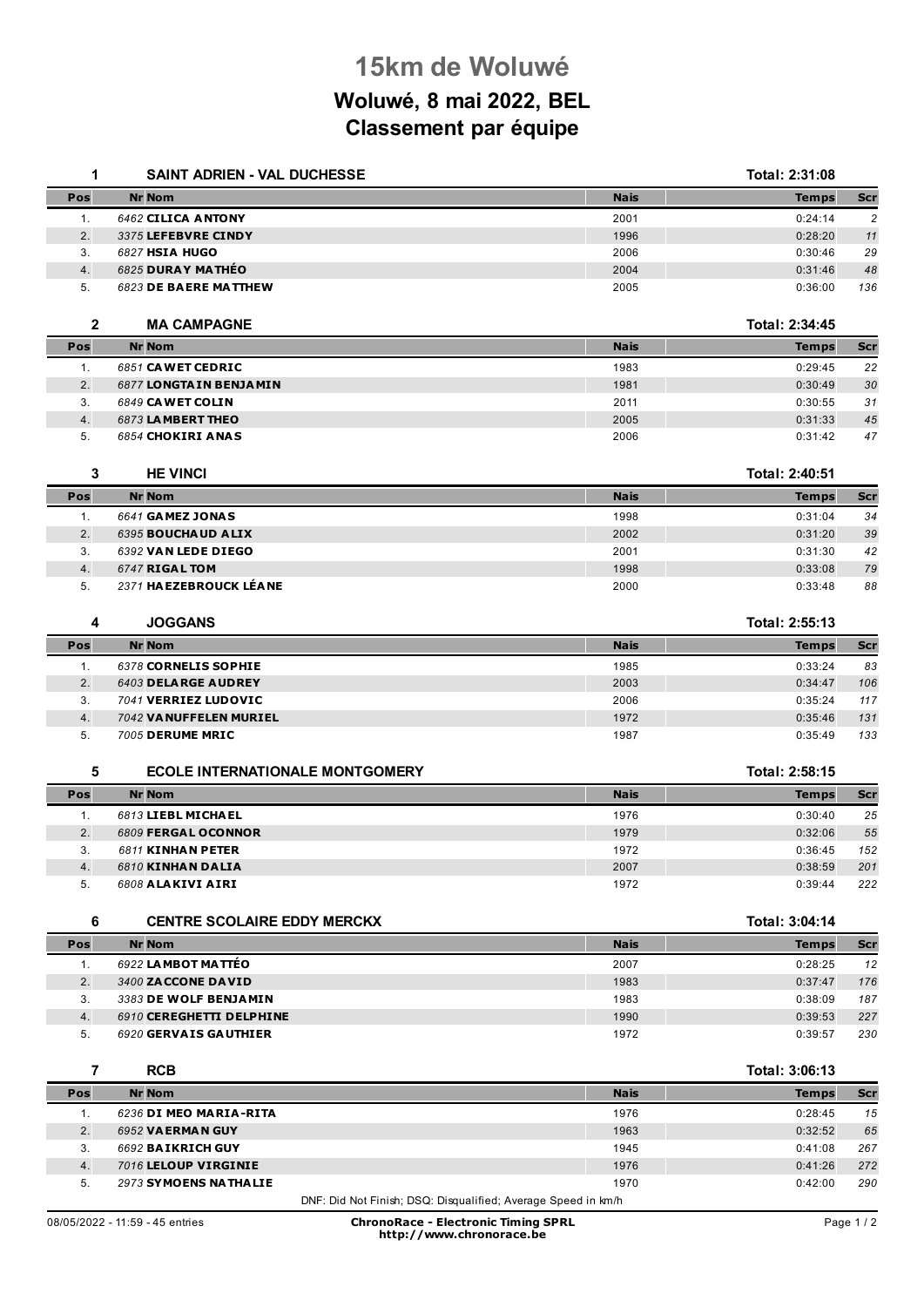## **15km de Woluwé**

## **Woluwé, 8 mai 2022, BEL Classement par équipe**

| 1              | SAINT ADRIEN - VAL DUCHESSE            |             | Total: 2:31:08 |                |
|----------------|----------------------------------------|-------------|----------------|----------------|
| Pos            | <b>Nr Nom</b>                          | <b>Nais</b> | <b>Temps</b>   | Scr            |
| 1.             | 6462 CILICA ANTONY                     | 2001        | 0:24:14        | $\overline{c}$ |
| 2.             | 3375 LEFEBVRE CINDY                    | 1996        | 0:28:20        | 11             |
| 3.             | 6827 HSIA HUGO                         | 2006        | 0:30:46        | 29             |
| 4.             | 6825 DURAY MATHÉO                      | 2004        | 0:31:46        | 48             |
| 5.             | 6823 DE BAERE MATTHEW                  | 2005        | 0:36:00        | 136            |
| $\mathbf{2}$   | <b>MA CAMPAGNE</b>                     |             | Total: 2:34:45 |                |
| Pos            | <b>Nr Nom</b>                          | <b>Nais</b> | <b>Temps</b>   | Scr            |
| 1.             | 6851 CAWET CEDRIC                      | 1983        | 0:29:45        | 22             |
| 2.             | 6877 LONGTAIN BENJAMIN                 | 1981        | 0:30:49        | 30             |
| 3.             | 6849 CAWET COLIN                       | 2011        | 0:30:55        | 31             |
| 4.             | 6873 LAMBERT THEO                      | 2005        | 0:31:33        | 45             |
| 5.             | 6854 CHOKIRI ANAS                      | 2006        | 0:31:42        | 47             |
| 3              | <b>HE VINCI</b>                        |             | Total: 2:40:51 |                |
| Pos            | <b>Nr Nom</b>                          | <b>Nais</b> | <b>Temps</b>   | Scr            |
| 1 <sub>1</sub> | 6641 GAMEZ JONAS                       | 1998        | 0:31:04        | 34             |
| 2.             | 6395 BOUCHAUD ALIX                     | 2002        | 0:31:20        | 39             |
| 3.             | 6392 VAN LEDE DIEGO                    | 2001        | 0:31:30        | 42             |
| 4.             | 6747 RIGAL TOM                         | 1998        | 0:33:08        | 79             |
| 5.             | 2371 HA EZEBROUCK LÉANE                | 2000        | 0:33:48        | 88             |
| 4              | <b>JOGGANS</b>                         |             | Total: 2:55:13 |                |
| Pos            | <b>Nr Nom</b>                          | <b>Nais</b> | <b>Temps</b>   | Scr            |
| 1 <sub>1</sub> | 6378 CORNELIS SOPHIE                   | 1985        | 0:33:24        | 83             |
| 2.             | 6403 DELARGE AUDREY                    | 2003        | 0:34:47        | 106            |
| 3.             | 7041 VERRIEZ LUDOVIC                   | 2006        | 0:35:24        | 117            |
| 4.             | 7042 VANUFFELEN MURIEL                 | 1972        | 0:35:46        | 131            |
| 5.             | 7005 DERUME MRIC                       | 1987        | 0:35:49        | 133            |
| 5              | <b>ECOLE INTERNATIONALE MONTGOMERY</b> |             | Total: 2:58:15 |                |
| Pos            | <b>Nr Nom</b>                          | <b>Nais</b> | <b>Temps</b>   | Scr            |
| 1.             | 6813 LIEBL MICHAEL                     | 1976        | 0:30:40        | 25             |
| 2.             | 6809 FERGAL OCONNOR                    | 1979        | 0:32:06        | 55             |
| 3.             | <b>6811 KINHAN PETER</b>               | 1972        | 0:36:45        | 152            |
| 4.             | 6810 KINHAN DALIA                      | 2007        | 0:38:59        | 201            |
| 5.             | 6808 ALAKIVI AIRI                      | 1972        | 0:39:44        | 222            |
| 6              | <b>CENTRE SCOLAIRE EDDY MERCKX</b>     |             | Total: 3:04:14 |                |
| Pos            | <b>Nr Nom</b>                          | <b>Nais</b> | <b>Temps</b>   | <b>Scr</b>     |
| 1.             | 6922 LAMBOT MATTÉO                     | 2007        | 0:28:25        | 12             |
| 2.             | 3400 ZACCONE DAVID                     | 1983        | 0:37:47        | 176            |
| 3.             | 3383 DE WOLF BENJAMIN                  | 1983        | 0:38:09        | 187            |
| 4.             | 6910 CEREGHETTI DELPHINE               | 1990        | 0:39:53        | 227            |
| 5.             | 6920 GERVAIS GAUTHIER                  | 1972        | 0:39:57        | 230            |
| $\overline{7}$ | <b>RCB</b>                             |             | Total: 3:06:13 |                |
| Pos            | <b>Nr Nom</b>                          | <b>Nais</b> | <b>Temps</b>   | Scr            |
| 1.             | 6236 DI MEO MARIA-RITA                 | 1976        | 0:28:45        | 15             |
| 2.             | 6952 VAERMAN GUY                       | 1963        | 0:32:52        | 65             |
| 3.             | 6692 BAIKRICH GUY                      | 1945        | 0:41:08        | 267            |
| 4.             | 7016 LELOUP VIRGINIE                   | 1976        | 0:41:26        | 272            |
| 5.             | 2973 SYMOENS NATHALIE                  | 1970        | 0:42:00        | 290            |

DNF: Did Not Finish; DSQ: Disqualified; Average Speed in km/h